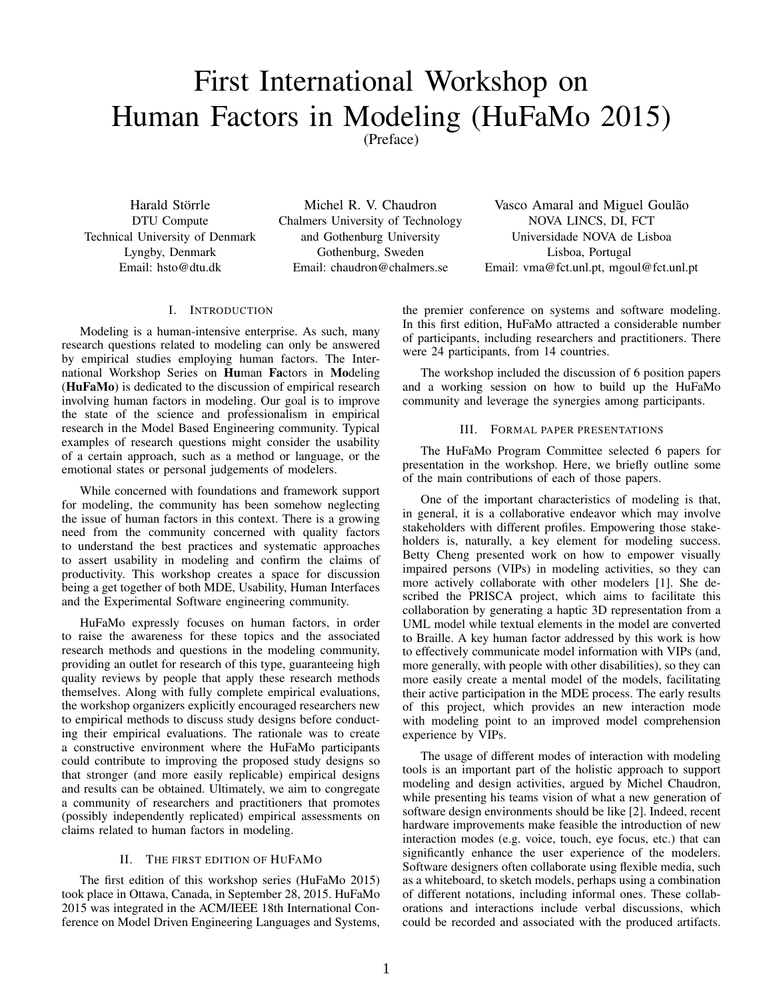# First International Workshop on Human Factors in Modeling (HuFaMo 2015)

(Preface)

Harald Störrle DTU Compute Technical University of Denmark Lyngby, Denmark Email: hsto@dtu.dk

Michel R. V. Chaudron Chalmers University of Technology and Gothenburg University Gothenburg, Sweden Email: chaudron@chalmers.se

Vasco Amaral and Miguel Goulão NOVA LINCS, DI, FCT Universidade NOVA de Lisboa Lisboa, Portugal Email: vma@fct.unl.pt, mgoul@fct.unl.pt

# I. INTRODUCTION

Modeling is a human-intensive enterprise. As such, many research questions related to modeling can only be answered by empirical studies employing human factors. The International Workshop Series on Human Factors in Modeling (HuFaMo) is dedicated to the discussion of empirical research involving human factors in modeling. Our goal is to improve the state of the science and professionalism in empirical research in the Model Based Engineering community. Typical examples of research questions might consider the usability of a certain approach, such as a method or language, or the emotional states or personal judgements of modelers.

While concerned with foundations and framework support for modeling, the community has been somehow neglecting the issue of human factors in this context. There is a growing need from the community concerned with quality factors to understand the best practices and systematic approaches to assert usability in modeling and confirm the claims of productivity. This workshop creates a space for discussion being a get together of both MDE, Usability, Human Interfaces and the Experimental Software engineering community.

HuFaMo expressly focuses on human factors, in order to raise the awareness for these topics and the associated research methods and questions in the modeling community, providing an outlet for research of this type, guaranteeing high quality reviews by people that apply these research methods themselves. Along with fully complete empirical evaluations, the workshop organizers explicitly encouraged researchers new to empirical methods to discuss study designs before conducting their empirical evaluations. The rationale was to create a constructive environment where the HuFaMo participants could contribute to improving the proposed study designs so that stronger (and more easily replicable) empirical designs and results can be obtained. Ultimately, we aim to congregate a community of researchers and practitioners that promotes (possibly independently replicated) empirical assessments on claims related to human factors in modeling.

# II. THE FIRST EDITION OF HUFAMO

The first edition of this workshop series (HuFaMo 2015) took place in Ottawa, Canada, in September 28, 2015. HuFaMo 2015 was integrated in the ACM/IEEE 18th International Conference on Model Driven Engineering Languages and Systems, the premier conference on systems and software modeling. In this first edition, HuFaMo attracted a considerable number of participants, including researchers and practitioners. There were 24 participants, from 14 countries.

The workshop included the discussion of 6 position papers and a working session on how to build up the HuFaMo community and leverage the synergies among participants.

# III. FORMAL PAPER PRESENTATIONS

The HuFaMo Program Committee selected 6 papers for presentation in the workshop. Here, we briefly outline some of the main contributions of each of those papers.

One of the important characteristics of modeling is that, in general, it is a collaborative endeavor which may involve stakeholders with different profiles. Empowering those stakeholders is, naturally, a key element for modeling success. Betty Cheng presented work on how to empower visually impaired persons (VIPs) in modeling activities, so they can more actively collaborate with other modelers [1]. She described the PRISCA project, which aims to facilitate this collaboration by generating a haptic 3D representation from a UML model while textual elements in the model are converted to Braille. A key human factor addressed by this work is how to effectively communicate model information with VIPs (and, more generally, with people with other disabilities), so they can more easily create a mental model of the models, facilitating their active participation in the MDE process. The early results of this project, which provides an new interaction mode with modeling point to an improved model comprehension experience by VIPs.

The usage of different modes of interaction with modeling tools is an important part of the holistic approach to support modeling and design activities, argued by Michel Chaudron, while presenting his teams vision of what a new generation of software design environments should be like [2]. Indeed, recent hardware improvements make feasible the introduction of new interaction modes (e.g. voice, touch, eye focus, etc.) that can significantly enhance the user experience of the modelers. Software designers often collaborate using flexible media, such as a whiteboard, to sketch models, perhaps using a combination of different notations, including informal ones. These collaborations and interactions include verbal discussions, which could be recorded and associated with the produced artifacts.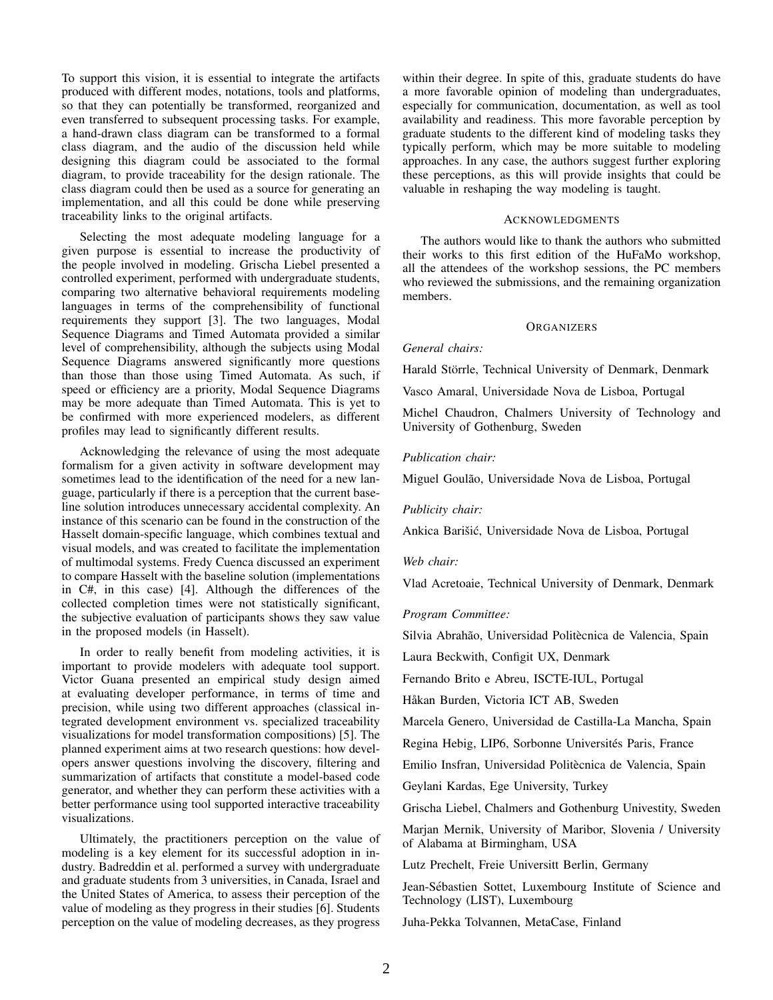To support this vision, it is essential to integrate the artifacts produced with different modes, notations, tools and platforms, so that they can potentially be transformed, reorganized and even transferred to subsequent processing tasks. For example, a hand-drawn class diagram can be transformed to a formal class diagram, and the audio of the discussion held while designing this diagram could be associated to the formal diagram, to provide traceability for the design rationale. The class diagram could then be used as a source for generating an implementation, and all this could be done while preserving traceability links to the original artifacts.

Selecting the most adequate modeling language for a given purpose is essential to increase the productivity of the people involved in modeling. Grischa Liebel presented a controlled experiment, performed with undergraduate students, comparing two alternative behavioral requirements modeling languages in terms of the comprehensibility of functional requirements they support [3]. The two languages, Modal Sequence Diagrams and Timed Automata provided a similar level of comprehensibility, although the subjects using Modal Sequence Diagrams answered significantly more questions than those than those using Timed Automata. As such, if speed or efficiency are a priority, Modal Sequence Diagrams may be more adequate than Timed Automata. This is yet to be confirmed with more experienced modelers, as different profiles may lead to significantly different results.

Acknowledging the relevance of using the most adequate formalism for a given activity in software development may sometimes lead to the identification of the need for a new language, particularly if there is a perception that the current baseline solution introduces unnecessary accidental complexity. An instance of this scenario can be found in the construction of the Hasselt domain-specific language, which combines textual and visual models, and was created to facilitate the implementation of multimodal systems. Fredy Cuenca discussed an experiment to compare Hasselt with the baseline solution (implementations in C#, in this case) [4]. Although the differences of the collected completion times were not statistically significant, the subjective evaluation of participants shows they saw value in the proposed models (in Hasselt).

In order to really benefit from modeling activities, it is important to provide modelers with adequate tool support. Victor Guana presented an empirical study design aimed at evaluating developer performance, in terms of time and precision, while using two different approaches (classical integrated development environment vs. specialized traceability visualizations for model transformation compositions) [5]. The planned experiment aims at two research questions: how developers answer questions involving the discovery, filtering and summarization of artifacts that constitute a model-based code generator, and whether they can perform these activities with a better performance using tool supported interactive traceability visualizations.

Ultimately, the practitioners perception on the value of modeling is a key element for its successful adoption in industry. Badreddin et al. performed a survey with undergraduate and graduate students from 3 universities, in Canada, Israel and the United States of America, to assess their perception of the value of modeling as they progress in their studies [6]. Students perception on the value of modeling decreases, as they progress within their degree. In spite of this, graduate students do have a more favorable opinion of modeling than undergraduates, especially for communication, documentation, as well as tool availability and readiness. This more favorable perception by graduate students to the different kind of modeling tasks they typically perform, which may be more suitable to modeling approaches. In any case, the authors suggest further exploring these perceptions, as this will provide insights that could be valuable in reshaping the way modeling is taught.

#### ACKNOWLEDGMENTS

The authors would like to thank the authors who submitted their works to this first edition of the HuFaMo workshop, all the attendees of the workshop sessions, the PC members who reviewed the submissions, and the remaining organization members.

#### **ORGANIZERS**

# *General chairs:*

Harald Störrle, Technical University of Denmark, Denmark

Vasco Amaral, Universidade Nova de Lisboa, Portugal

Michel Chaudron, Chalmers University of Technology and University of Gothenburg, Sweden

# *Publication chair:*

Miguel Goulão, Universidade Nova de Lisboa, Portugal

#### *Publicity chair:*

Ankica Barišić, Universidade Nova de Lisboa, Portugal

#### *Web chair:*

Vlad Acretoaie, Technical University of Denmark, Denmark

# *Program Committee:*

Silvia Abrahão, Universidad Politècnica de Valencia, Spain

Laura Beckwith, Configit UX, Denmark

Fernando Brito e Abreu, ISCTE-IUL, Portugal

Håkan Burden, Victoria ICT AB, Sweden

Marcela Genero, Universidad de Castilla-La Mancha, Spain

Regina Hebig, LIP6, Sorbonne Universités Paris, France

Emilio Insfran, Universidad Politècnica de Valencia, Spain

Geylani Kardas, Ege University, Turkey

Grischa Liebel, Chalmers and Gothenburg Univestity, Sweden

Marjan Mernik, University of Maribor, Slovenia / University of Alabama at Birmingham, USA

Lutz Prechelt, Freie Universitt Berlin, Germany

Jean-Sebastien Sottet, Luxembourg Institute of Science and ´ Technology (LIST), Luxembourg

Juha-Pekka Tolvannen, MetaCase, Finland